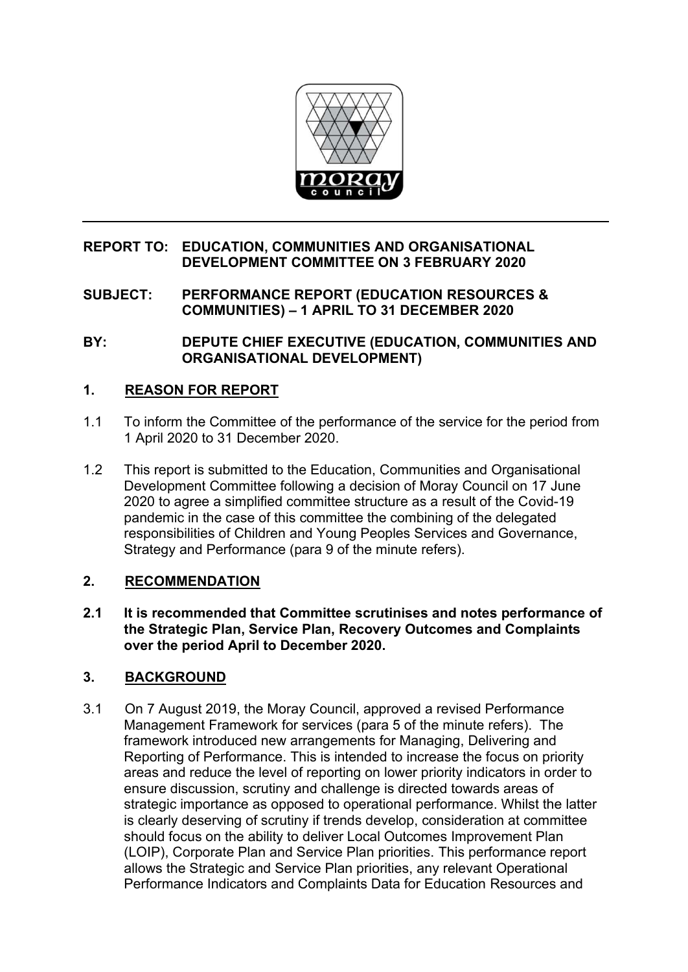

#### **REPORT TO: EDUCATION, COMMUNITIES AND ORGANISATIONAL DEVELOPMENT COMMITTEE ON 3 FEBRUARY 2020**

**SUBJECT: PERFORMANCE REPORT (EDUCATION RESOURCES & COMMUNITIES) – 1 APRIL TO 31 DECEMBER 2020** 

**BY: DEPUTE CHIEF EXECUTIVE (EDUCATION, COMMUNITIES AND ORGANISATIONAL DEVELOPMENT)** 

## **1. REASON FOR REPORT**

- 1.1 To inform the Committee of the performance of the service for the period from 1 April 2020 to 31 December 2020.
- 1.2 This report is submitted to the Education, Communities and Organisational Development Committee following a decision of Moray Council on 17 June 2020 to agree a simplified committee structure as a result of the Covid-19 pandemic in the case of this committee the combining of the delegated responsibilities of Children and Young Peoples Services and Governance, Strategy and Performance (para 9 of the minute refers).

## **2. RECOMMENDATION**

**2.1 It is recommended that Committee scrutinises and notes performance of the Strategic Plan, Service Plan, Recovery Outcomes and Complaints over the period April to December 2020.** 

## **3. BACKGROUND**

3.1 On 7 August 2019, the Moray Council, approved a revised Performance Management Framework for services (para 5 of the minute refers). The framework introduced new arrangements for Managing, Delivering and Reporting of Performance. This is intended to increase the focus on priority areas and reduce the level of reporting on lower priority indicators in order to ensure discussion, scrutiny and challenge is directed towards areas of strategic importance as opposed to operational performance. Whilst the latter is clearly deserving of scrutiny if trends develop, consideration at committee should focus on the ability to deliver Local Outcomes Improvement Plan (LOIP), Corporate Plan and Service Plan priorities. This performance report allows the Strategic and Service Plan priorities, any relevant Operational Performance Indicators and Complaints Data for Education Resources and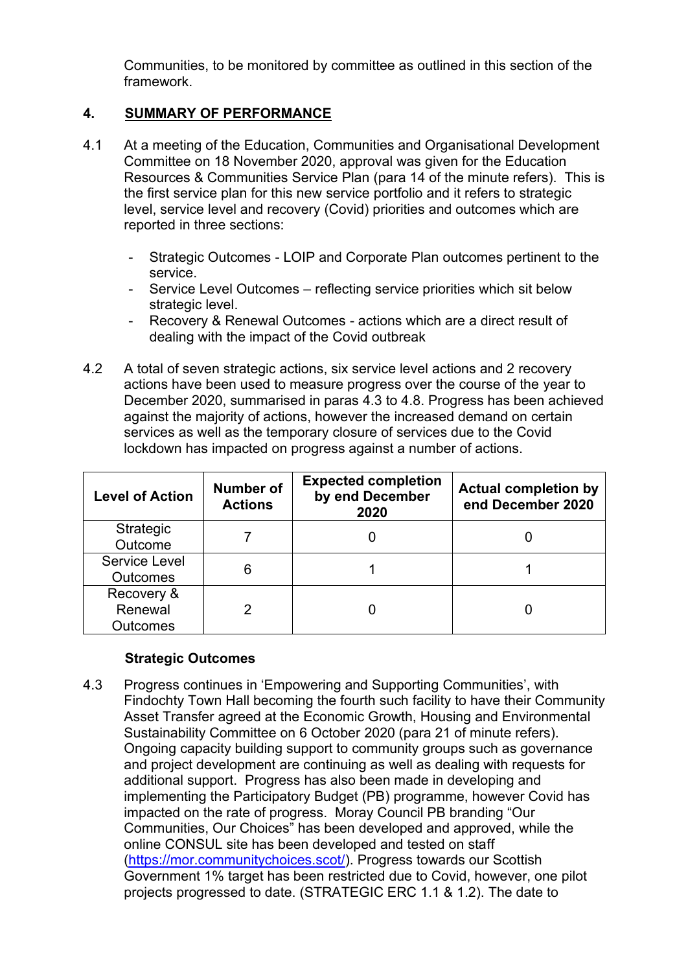Communities, to be monitored by committee as outlined in this section of the framework.

# **4. SUMMARY OF PERFORMANCE**

- 4.1 At a meeting of the Education, Communities and Organisational Development Committee on 18 November 2020, approval was given for the Education Resources & Communities Service Plan (para 14 of the minute refers). This is the first service plan for this new service portfolio and it refers to strategic level, service level and recovery (Covid) priorities and outcomes which are reported in three sections:
	- Strategic Outcomes LOIP and Corporate Plan outcomes pertinent to the service.
	- Service Level Outcomes reflecting service priorities which sit below strategic level.
	- Recovery & Renewal Outcomes actions which are a direct result of dealing with the impact of the Covid outbreak
- 4.2 A total of seven strategic actions, six service level actions and 2 recovery actions have been used to measure progress over the course of the year to December 2020, summarised in paras 4.3 to 4.8. Progress has been achieved against the majority of actions, however the increased demand on certain services as well as the temporary closure of services due to the Covid lockdown has impacted on progress against a number of actions.

| <b>Level of Action</b>                   | Number of<br><b>Actions</b> | <b>Expected completion</b><br>by end December<br>2020 | <b>Actual completion by</b><br>end December 2020 |
|------------------------------------------|-----------------------------|-------------------------------------------------------|--------------------------------------------------|
| Strategic<br>Outcome                     |                             |                                                       |                                                  |
| Service Level<br><b>Outcomes</b>         | 6                           |                                                       |                                                  |
| Recovery &<br>Renewal<br><b>Outcomes</b> |                             |                                                       |                                                  |

## **Strategic Outcomes**

4.3 Progress continues in 'Empowering and Supporting Communities', with Findochty Town Hall becoming the fourth such facility to have their Community Asset Transfer agreed at the Economic Growth, Housing and Environmental Sustainability Committee on 6 October 2020 (para 21 of minute refers). Ongoing capacity building support to community groups such as governance and project development are continuing as well as dealing with requests for additional support. Progress has also been made in developing and implementing the Participatory Budget (PB) programme, however Covid has impacted on the rate of progress. Moray Council PB branding "Our Communities, Our Choices" has been developed and approved, while the online CONSUL site has been developed and tested on staff [\(https://mor.communitychoices.scot/\)](https://mor.communitychoices.scot/). Progress towards our Scottish Government 1% target has been restricted due to Covid, however, one pilot projects progressed to date. (STRATEGIC ERC 1.1 & 1.2). The date to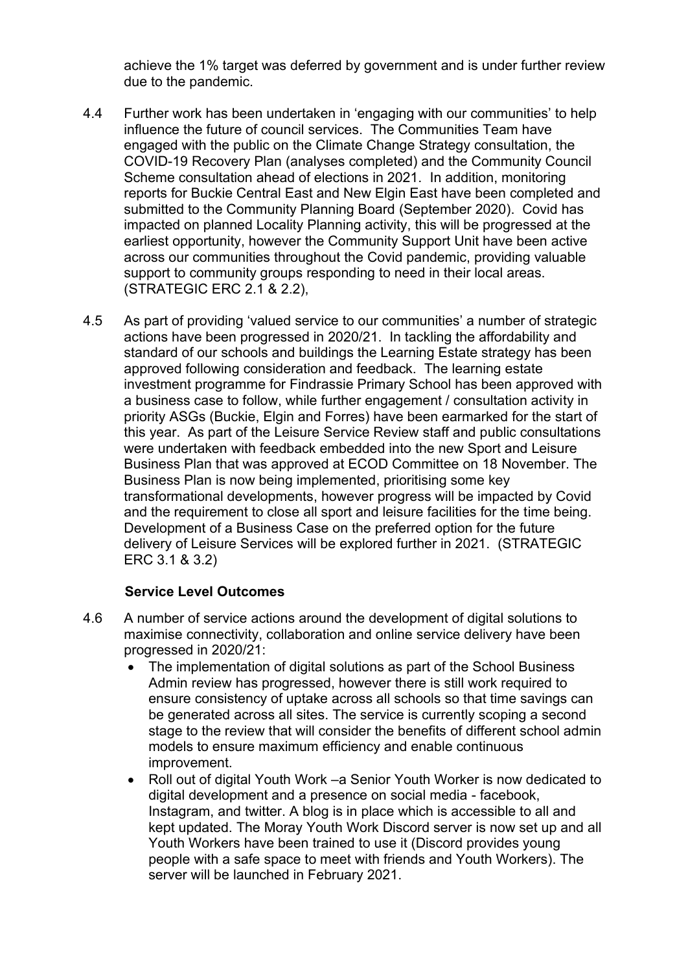achieve the 1% target was deferred by government and is under further review due to the pandemic.

- 4.4 Further work has been undertaken in 'engaging with our communities' to help influence the future of council services. The Communities Team have engaged with the public on the Climate Change Strategy consultation, the COVID-19 Recovery Plan (analyses completed) and the Community Council Scheme consultation ahead of elections in 2021. In addition, monitoring reports for Buckie Central East and New Elgin East have been completed and submitted to the Community Planning Board (September 2020). Covid has impacted on planned Locality Planning activity, this will be progressed at the earliest opportunity, however the Community Support Unit have been active across our communities throughout the Covid pandemic, providing valuable support to community groups responding to need in their local areas. (STRATEGIC ERC 2.1 & 2.2),
- 4.5 As part of providing 'valued service to our communities' a number of strategic actions have been progressed in 2020/21. In tackling the affordability and standard of our schools and buildings the Learning Estate strategy has been approved following consideration and feedback. The learning estate investment programme for Findrassie Primary School has been approved with a business case to follow, while further engagement / consultation activity in priority ASGs (Buckie, Elgin and Forres) have been earmarked for the start of this year. As part of the Leisure Service Review staff and public consultations were undertaken with feedback embedded into the new Sport and Leisure Business Plan that was approved at ECOD Committee on 18 November. The Business Plan is now being implemented, prioritising some key transformational developments, however progress will be impacted by Covid and the requirement to close all sport and leisure facilities for the time being. Development of a Business Case on the preferred option for the future delivery of Leisure Services will be explored further in 2021. (STRATEGIC ERC 3.1 & 3.2)

## **Service Level Outcomes**

- 4.6 A number of service actions around the development of digital solutions to maximise connectivity, collaboration and online service delivery have been progressed in 2020/21:
	- The implementation of digital solutions as part of the School Business Admin review has progressed, however there is still work required to ensure consistency of uptake across all schools so that time savings can be generated across all sites. The service is currently scoping a second stage to the review that will consider the benefits of different school admin models to ensure maximum efficiency and enable continuous improvement.
	- Roll out of digital Youth Work –a Senior Youth Worker is now dedicated to digital development and a presence on social media - facebook, Instagram, and twitter. A blog is in place which is accessible to all and kept updated. The Moray Youth Work Discord server is now set up and all Youth Workers have been trained to use it (Discord provides young people with a safe space to meet with friends and Youth Workers). The server will be launched in February 2021.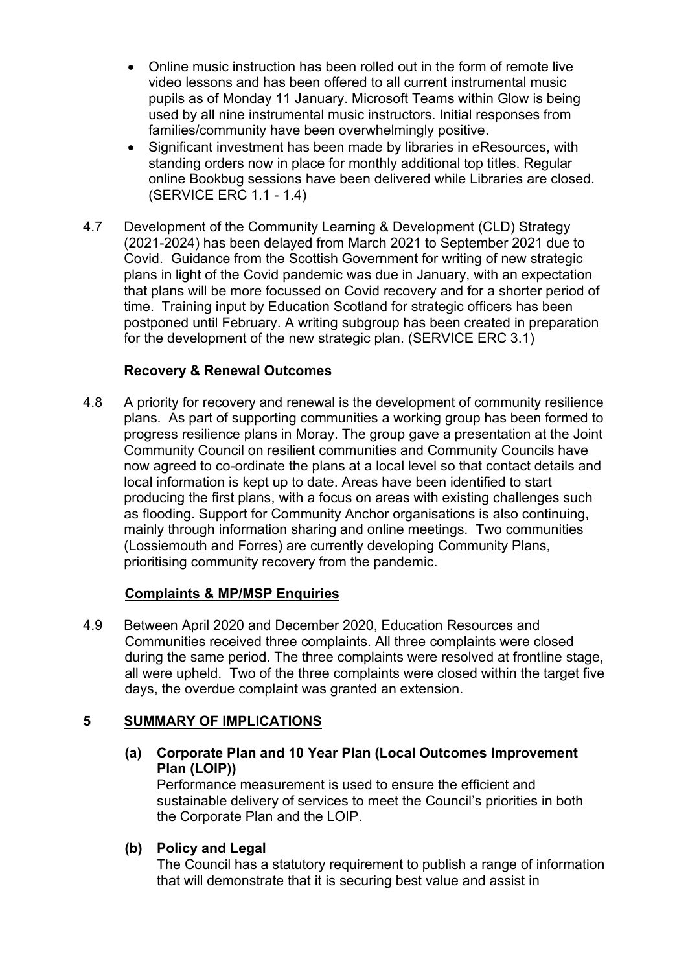- Online music instruction has been rolled out in the form of remote live video lessons and has been offered to all current instrumental music pupils as of Monday 11 January. Microsoft Teams within Glow is being used by all nine instrumental music instructors. Initial responses from families/community have been overwhelmingly positive.
- Significant investment has been made by libraries in eResources, with standing orders now in place for monthly additional top titles. Regular online Bookbug sessions have been delivered while Libraries are closed. (SERVICE ERC 1.1 - 1.4)
- 4.7 Development of the Community Learning & Development (CLD) Strategy (2021-2024) has been delayed from March 2021 to September 2021 due to Covid. Guidance from the Scottish Government for writing of new strategic plans in light of the Covid pandemic was due in January, with an expectation that plans will be more focussed on Covid recovery and for a shorter period of time. Training input by Education Scotland for strategic officers has been postponed until February. A writing subgroup has been created in preparation for the development of the new strategic plan. (SERVICE ERC 3.1)

#### **Recovery & Renewal Outcomes**

4.8 A priority for recovery and renewal is the development of community resilience plans. As part of supporting communities a working group has been formed to progress resilience plans in Moray. The group gave a presentation at the Joint Community Council on resilient communities and Community Councils have now agreed to co-ordinate the plans at a local level so that contact details and local information is kept up to date. Areas have been identified to start producing the first plans, with a focus on areas with existing challenges such as flooding. Support for Community Anchor organisations is also continuing, mainly through information sharing and online meetings. Two communities (Lossiemouth and Forres) are currently developing Community Plans, prioritising community recovery from the pandemic.

## **Complaints & MP/MSP Enquiries**

4.9 Between April 2020 and December 2020, Education Resources and Communities received three complaints. All three complaints were closed during the same period. The three complaints were resolved at frontline stage, all were upheld. Two of the three complaints were closed within the target five days, the overdue complaint was granted an extension.

## **5 SUMMARY OF IMPLICATIONS**

**(a) Corporate Plan and 10 Year Plan (Local Outcomes Improvement Plan (LOIP))** 

Performance measurement is used to ensure the efficient and sustainable delivery of services to meet the Council's priorities in both the Corporate Plan and the LOIP.

## **(b) Policy and Legal**

The Council has a statutory requirement to publish a range of information that will demonstrate that it is securing best value and assist in